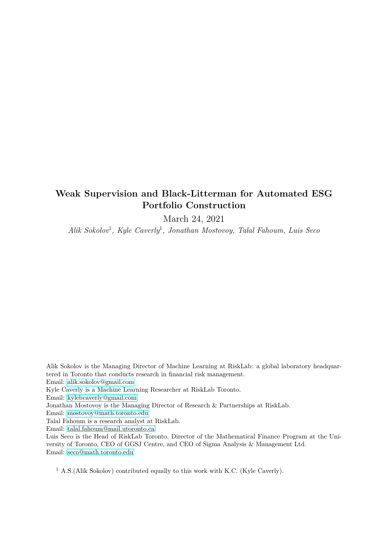# **Weak Supervision and Black-Litterman for Automated ESG Portfolio Construction**

March 24, 2021

*Alik Sokolov*<sup>1</sup> *, Kyle Caverly*<sup>1</sup> *, Jonathan Mostovoy, Talal Fahoum, Luis Seco*

Alik Sokolov is the Managing Director of Machine Learning at RiskLab: a global laboratory headquartered in Toronto that conducts research in financial risk management. Email: [alik.sokolov@gmail.com](mailto:alik.sokolov@gmail.com) Kyle Caverly is a Machine Learning Researcher at RiskLab Toronto. Email: [kylebcaverly@gmail.com](mailto:kylebcaverly@gmail.com) Jonathan Mostovoy is the Managing Director of Research & Partnerships at RiskLab. Email: [mostovoy@math.toronto.edu](mailto:mostovoy@math.toronto.edu) Talal Fahoum is a research analyst at RiskLab. Email: [talal.fahoum@mail.utoronto.ca](mailto:talal.fahoum@mail.utoronto.ca) Luis Seco is the Head of RiskLab Toronto, Director of the Mathematical Finance Program at the University of Toronto, CEO of GGSJ Centre, and CEO of Sigma Analysis & Management Ltd. Email: [seco@math.toronto.edu](mailto:seco@math.toronto.edu)

<sup>1</sup> A.S.(Alik Sokolov) contributed equally to this work with K.C. (Kyle Caverly).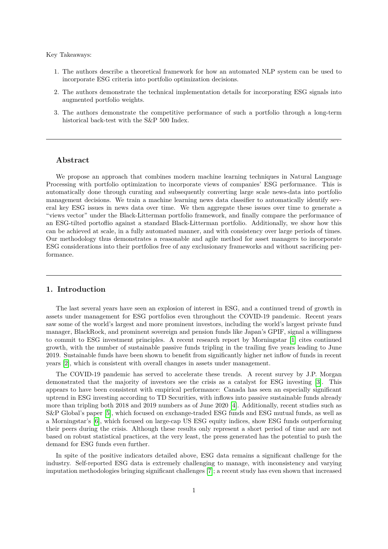Key Takeaways:

- 1. The authors describe a theoretical framework for how an automated NLP system can be used to incorporate ESG criteria into portfolio optimization decisions.
- 2. The authors demonstrate the technical implementation details for incorporating ESG signals into augmented portfolio weights.
- 3. The authors demonstrate the competitive performance of such a portfolio through a long-term historical back-test with the S&P 500 Index.

## **Abstract**

We propose an approach that combines modern machine learning techniques in Natural Language Processing with portfolio optimization to incorporate views of companies' ESG performance. This is automatically done through curating and subsequently converting large scale news-data into portfolio management decisions. We train a machine learning news data classifier to automatically identify several key ESG issues in news data over time. We then aggregate these issues over time to generate a "views vector" under the Black-Litterman portfolio framework, and finally compare the performance of an ESG-tilted portoflio against a standard Black-Litterman portfolio. Additionally, we show how this can be achieved at scale, in a fully automated manner, and with consistency over large periods of times. Our methodology thus demonstrates a reasonable and agile method for asset managers to incorporate ESG considerations into their portfolios free of any exclusionary frameworks and without sacrificing performance.

## **1. Introduction**

The last several years have seen an explosion of interest in ESG, and a continued trend of growth in assets under management for ESG portfolios even throughout the COVID-19 pandemic. Recent years saw some of the world's largest and more prominent investors, including the world's largest private fund manager, BlackRock, and prominent sovereign and pension funds like Japan's GPIF, signal a willingness to commit to ESG investment principles. A recent research report by Morningstar [\[1\]](#page-8-0) cites continued growth, with the number of sustainable passive funds tripling in the trailing five years leading to June 2019. Sustainable funds have been shown to benefit from significantly higher net inflow of funds in recent years [\[2\]](#page-8-1), which is consistent with overall changes in assets under management.

The COVID-19 pandemic has served to accelerate these trends. A recent survey by J.P. Morgan demonstrated that the majority of investors see the crisis as a catalyst for ESG investing [\[3\]](#page-8-2). This appears to have been consistent with empirical performance: Canada has seen an especially significant uptrend in ESG investing according to TD Securities, with inflows into passive sustainable funds already more than tripling both 2018 and 2019 numbers as of June 2020 [\[4\]](#page-8-3). Additionally, recent studies such as S&P Global's paper [\[5\]](#page-8-4), which focused on exchange-traded ESG funds and ESG mutual funds, as well as a Morningstar's [\[6\]](#page-9-0), which focused on large-cap US ESG equity indices, show ESG funds outperforming their peers during the crisis. Although these results only represent a short period of time and are not based on robust statistical practices, at the very least, the press generated has the potential to push the demand for ESG funds even further.

In spite of the positive indicators detailed above, ESG data remains a significant challenge for the industry. Self-reported ESG data is extremely challenging to manage, with inconsistency and varying imputation methodologies bringing significant challenges [\[7\]](#page-9-1); a recent study has even shown that increased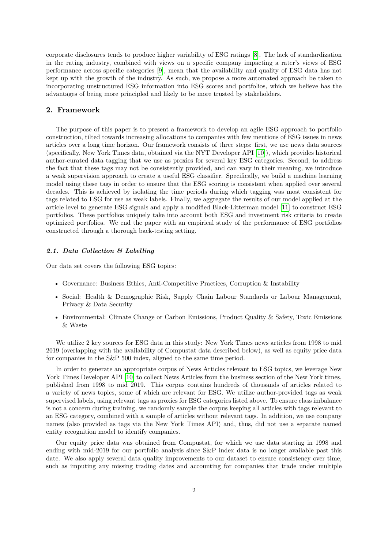corporate disclosures tends to produce higher variability of ESG ratings [\[8\]](#page-9-2). The lack of standardization in the rating industry, combined with views on a specific company impacting a rater's views of ESG performance across specific categories [\[9\]](#page-9-3), mean that the availability and quality of ESG data has not kept up with the growth of the industry. As such, we propose a more automated approach be taken to incorporating unstructured ESG information into ESG scores and portfolios, which we believe has the advantages of being more principled and likely to be more trusted by stakeholders.

## **2. Framework**

The purpose of this paper is to present a framework to develop an agile ESG approach to portfolio construction, tilted towards increasing allocations to companies with few mentions of ESG issues in news articles over a long time horizon. Our framework consists of three steps: first, we use news data sources (specifically, New York Times data, obtained via the NYT Developer API [\[10\]](#page-9-4)), which provides historical author-curated data tagging that we use as proxies for several key ESG categories. Second, to address the fact that these tags may not be consistently provided, and can vary in their meaning, we introduce a weak supervision approach to create a useful ESG classifier. Specifically, we build a machine learning model using these tags in order to ensure that the ESG scoring is consistent when applied over several decades. This is achieved by isolating the time periods during which tagging was most consistent for tags related to ESG for use as weak labels. Finally, we aggregate the results of our model applied at the article level to generate ESG signals and apply a modified Black-Litterman model [\[11\]](#page-9-5) to construct ESG portfolios. These portfolios uniquely take into account both ESG and investment risk criteria to create optimized portfolios. We end the paper with an empirical study of the performance of ESG portfolios constructed through a thorough back-testing setting.

#### *2.1. Data Collection & Labelling*

Our data set covers the following ESG topics:

- Governance: Business Ethics, Anti-Competitive Practices, Corruption & Instability
- Social: Health & Demographic Risk, Supply Chain Labour Standards or Labour Management, Privacy & Data Security
- Environmental: Climate Change or Carbon Emissions, Product Quality & Safety, Toxic Emissions & Waste

We utilize 2 key sources for ESG data in this study: New York Times news articles from 1998 to mid 2019 (overlapping with the availability of Compustat data described below), as well as equity price data for companies in the S&P 500 index, aligned to the same time period.

In order to generate an appropriate corpus of News Articles relevant to ESG topics, we leverage New York Times Developer API [\[10\]](#page-9-4) to collect News Articles from the business section of the New York times, published from 1998 to mid 2019. This corpus contains hundreds of thousands of articles related to a variety of news topics, some of which are relevant for ESG. We utilize author-provided tags as weak supervised labels, using relevant tags as proxies for ESG categories listed above. To ensure class imbalance is not a concern during training, we randomly sample the corpus keeping all articles with tags relevant to an ESG category, combined with a sample of articles without relevant tags. In addition, we use company names (also provided as tags via the New York Times API) and, thus, did not use a separate named entity recognition model to identify companies.

Our equity price data was obtained from Compustat, for which we use data starting in 1998 and ending with mid-2019 for our portfolio analysis since S&P index data is no longer available past this date. We also apply several data quality improvements to our dataset to ensure consistency over time, such as imputing any missing trading dates and accounting for companies that trade under multiple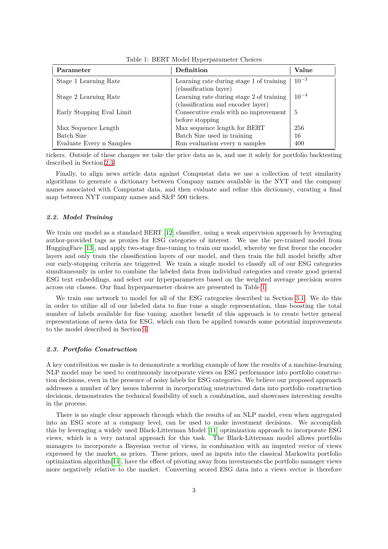| Parameter                 | Definition                                                                     | Value     |
|---------------------------|--------------------------------------------------------------------------------|-----------|
| Stage 1 Learning Rate     | Learning rate during stage 1 of training<br>(classification layer)             | $10^{-3}$ |
| Stage 2 Learning Rate     | Learning rate during stage 2 of training<br>(classification and encoder layer) | $10^{-4}$ |
| Early Stopping Eval Limit | Consecutive evals with no improvement<br>before stopping                       | 5         |
| Max Sequence Length       | Max sequence length for BERT                                                   | 256       |
| Batch Size                | Batch Size used in training                                                    | 16        |
| Evaluate Every n Samples  | Run evaluation every n samples                                                 | 400       |

<span id="page-3-1"></span>Table 1: BERT Model Hyperparameter Choices

tickers. Outside of these changes we take the price data as is, and use it solely for portfolio backtesting described in Section [2.3.](#page-3-0)

Finally, to align news article data against Compustat data we use a collection of text similarity algorithms to generate a dictionary between Company names available in the NYT and the company names associated with Compustat data, and then evaluate and refine this dictionary, curating a final map between NYT company names and S&P 500 tickers.

#### *2.2. Model Training*

We train our model as a standard BERT [\[12\]](#page-9-6) classifier, using a weak supervision approach by leveraging author-provided tags as proxies for ESG categories of interest. We use the pre-trained model from HuggingFace [\[13\]](#page-9-7), and apply two-stage fine-tuning to train our model, whereby we first freeze the encoder layers and only train the classification layers of our model, and then train the full model briefly after our early-stopping criteria are triggered. We train a single model to classify all of our ESG categories simultaneously in order to combine the labeled data from individual categories and create good general ESG text embeddings, and select our hyperparameters based on the weighted average precision scores across our classes. Our final hyperparemeter choices are presented in Table [1.](#page-3-1)

We train one network to model for all of the ESG categories described in Section [3.1.](#page-5-0) We do this in order to utilize all of our labeled data to fine tune a single representation, thus boosting the total number of labels available for fine tuning; another benefit of this approach is to create better general representations of news data for ESG, which can then be applied towards some potential improvements to the model described in Section [4.](#page-6-0)

#### <span id="page-3-0"></span>*2.3. Portfolio Construction*

A key contribution we make is to demonstrate a working example of how the results of a machine-learning NLP model may be used to continuously incorporate views on ESG performance into portfolio construction decisions, even in the presence of noisy labels for ESG categories. We believe our proposed approach addresses a number of key issues inherent in incorporating unstructured data into portfolio construction decisions, demonstrates the technical feasibility of such a combination, and showcases interesting results in the process.

There is no single clear approach through which the results of an NLP model, even when aggregated into an ESG score at a company level, can be used to make investment decisions. We accomplish this by leveraging a widely used Black-Litterman Model [\[11\]](#page-9-5) optimization approach to incorporate ESG views, which is a very natural approach for this task. The Black-Litterman model allows portfolio managers to incorporate a Bayesian vector of views, in combination with an imputed vector of views expressed by the market, as priors. These priors, used as inputs into the classical Markowitz portfolio optimization algorithm[\[14\]](#page-9-8), have the effect of pivoting away from investments the portfolio manager views more negatively relative to the market. Converting scored ESG data into a views vector is therefore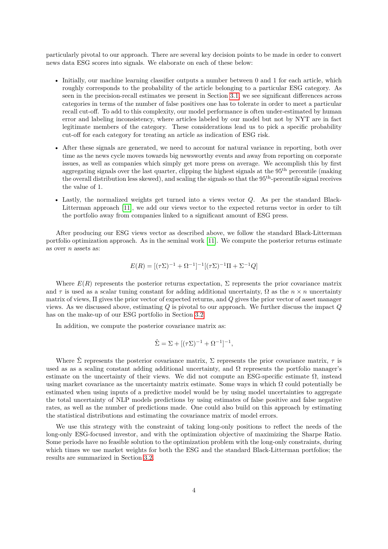particularly pivotal to our approach. There are several key decision points to be made in order to convert news data ESG scores into signals. We elaborate on each of these below:

- Initially, our machine learning classifier outputs a number between 0 and 1 for each article, which roughly corresponds to the probability of the article belonging to a particular ESG category. As seen in the precision-recall estimates we present in Section [3.1,](#page-5-0) we see significant differences across categories in terms of the number of false positives one has to tolerate in order to meet a particular recall cut-off. To add to this complexity, our model performance is often under-estimated by human error and labeling inconsistency, where articles labeled by our model but not by NYT are in fact legitimate members of the category. These considerations lead us to pick a specific probability cut-off for each category for treating an article as indication of ESG risk.
- After these signals are generated, we need to account for natural variance in reporting, both over time as the news cycle moves towards big newsworthy events and away from reporting on corporate issues, as well as companies which simply get more press on average. We accomplish this by first aggregating signals over the last quarter, clipping the highest signals at the 95th percentile (making the overall distribution less skewed), and scaling the signals so that the 95th-percentile signal receives the value of 1.
- Lastly, the normalized weights get turned into a views vector *Q*. As per the standard Black-Litterman approach [\[11\]](#page-9-5), we add our views vector to the expected returns vector in order to tilt the portfolio away from companies linked to a significant amount of ESG press.

After producing our ESG views vector as described above, we follow the standard Black-Litterman portfolio optimization approach. As in the seminal work [\[11\]](#page-9-5). We compute the posterior returns estimate as over *n* assets as:

$$
E(R) = [(\tau \Sigma)^{-1} + \Omega^{-1}]^{-1} [(\tau \Sigma)^{-1} \Pi + \Sigma^{-1} Q]
$$

Where  $E(R)$  represents the posterior returns expectation,  $\Sigma$  represents the prior covariance matrix and  $\tau$  is used as a scalar tuning constant for adding additional uncertainty,  $\Omega$  as the  $n \times n$  uncertainty matrix of views, Π gives the prior vector of expected returns, and *Q* gives the prior vector of asset manager views. As we discussed above, estimating *Q* is pivotal to our approach. We further discuss the impact *Q* has on the make-up of our ESG portfolio in Section [3.2.](#page-5-1)

In addition, we compute the posterior covariance matrix as:

$$
\hat{\Sigma} = \Sigma + [(\tau \Sigma)^{-1} + \Omega^{-1}]^{-1},
$$

Where  $\hat{\Sigma}$  represents the posterior covariance matrix,  $\Sigma$  represents the prior covariance matrix,  $\tau$  is used as as a scaling constant adding additional uncertainty, and  $\Omega$  represents the portfolio manager's estimate on the uncertainty of their views. We did not compute an ESG-specific estimate  $\Omega$ , instead using market covariance as the uncertainty matrix estimate. Some ways in which  $\Omega$  could potentially be estimated when using inputs of a predictive model would be by using model uncertainties to aggregate the total uncertainty of NLP models predictions by using estimates of false positive and false negative rates, as well as the number of predictions made. One could also build on this approach by estimating the statistical distributions and estimating the covariance matrix of model errors.

We use this strategy with the constraint of taking long-only positions to reflect the needs of the long-only ESG-focused investor, and with the optimization objective of maximizing the Sharpe Ratio. Some periods have no feasible solution to the optimization problem with the long-only constraints, during which times we use market weights for both the ESG and the standard Black-Litterman portfolios; the results are summarized in Section [3.2.](#page-5-1)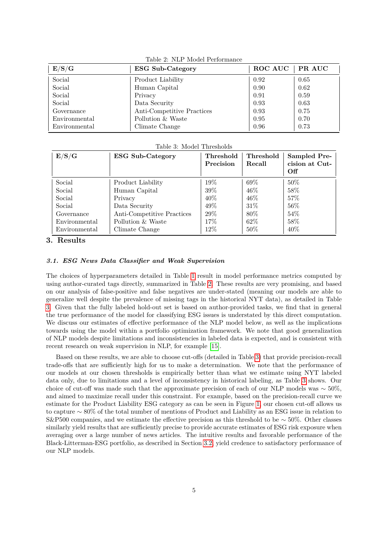| E/S/G         | <b>ESG Sub-Category</b>    | ROC AUC   PR AUC |      |
|---------------|----------------------------|------------------|------|
| Social        | Product Liability          | 0.92             | 0.65 |
| Social        | Human Capital              | 0.90             | 0.62 |
| Social        | Privacy                    | 0.91             | 0.59 |
| Social        | Data Security              | 0.93             | 0.63 |
| Governance    | Anti-Competitive Practices | 0.93             | 0.75 |
| Environmental | Pollution & Waste          | 0.95             | 0.70 |
| Environmental | Climate Change             | 0.96             | 0.73 |

<span id="page-5-2"></span>Table 2: NLP Model Performance

<span id="page-5-3"></span>Table 3: Model Thresholds

| E/S/G         | <b>ESG Sub-Category</b>    | Threshold<br>Precision | Threshold<br>Recall | Sampled Pre-<br>cision at Cut-<br>Off |
|---------------|----------------------------|------------------------|---------------------|---------------------------------------|
| Social        | Product Liability          | $19\%$                 | $69\%$              | $50\%$                                |
| Social        | Human Capital              | 39\%                   | $46\%$              | 58%                                   |
| Social        | Privacy                    | $40\%$                 | $46\%$              | $57\%$                                |
| Social        | Data Security              | $49\%$                 | $31\%$              | $56\%$                                |
| Governance    | Anti-Competitive Practices | $29\%$                 | 80\%                | 54\%                                  |
| Environmental | Pollution & Waste          | 17%                    | 62\%                | 58%                                   |
| Environmental | Climate Change             | $12\%$                 | $50\%$              | 40\%                                  |

## **3. Results**

#### <span id="page-5-0"></span>*3.1. ESG News Data Classifier and Weak Supervision*

The choices of hyperparameters detailed in Table [1](#page-3-1) result in model performance metrics computed by using author-curated tags directly, summarized in Table [2.](#page-5-2) These results are very promising, and based on our analysis of false-positive and false negatives are under-stated (meaning our models are able to generalize well despite the prevalence of missing tags in the historical NYT data), as detailed in Table [3.](#page-5-3) Given that the fully labeled hold-out set is based on author-provided tasks, we find that in general the true performance of the model for classifying ESG issues is understated by this direct computation. We discuss our estimates of effective performance of the NLP model below, as well as the implications towards using the model within a portfolio optimization framework. We note that good generalization of NLP models despite limitations and inconsistencies in labeled data is expected, and is consistent with recent research on weak supervision in NLP, for example [\[15\]](#page-9-9).

<span id="page-5-1"></span>Based on these results, we are able to choose cut-offs (detailed in Table [3\)](#page-5-3) that provide precision-recall trade-offs that are sufficiently high for us to make a determination. We note that the performance of our models at our chosen thresholds is empirically better than what we estimate using NYT labeled data only, due to limitations and a level of inconsistency in historical labeling, as Table [3](#page-5-3) shows. Our choice of cut-off was made such that the approximate precision of each of our NLP models was  $\sim$  50%, and aimed to maximize recall under this constraint. For example, based on the precision-recall curve we estimate for the Product Liability ESG category as can be seen in Figure [1,](#page-6-1) our chosen cut-off allows us to capture ∼ 80% of the total number of mentions of Product and Liability as an ESG issue in relation to S&P500 companies, and we estimate the effective precision as this threshold to be ∼ 50%. Other classes similarly yield results that are sufficiently precise to provide accurate estimates of ESG risk exposure when averaging over a large number of news articles. The intuitive results and favorable performance of the Black-Litterman-ESG portfolio, as described in Section [3.2,](#page-5-1) yield credence to satisfactory performance of our NLP models.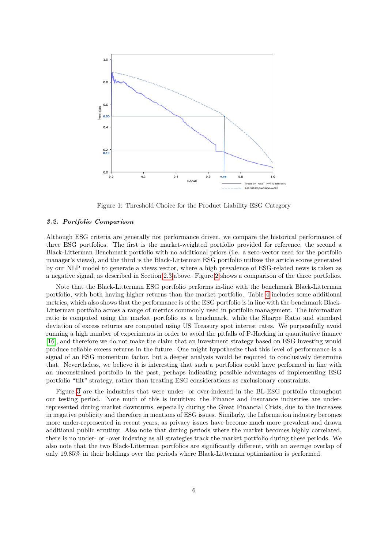

<span id="page-6-1"></span>Figure 1: Threshold Choice for the Product Liability ESG Category

#### *3.2. Portfolio Comparison*

Although ESG criteria are generally not performance driven, we compare the historical performance of three ESG portfolios. The first is the market-weighted portfolio provided for reference, the second a Black-Litterman Benchmark portfolio with no additional priors (i.e. a zero-vector used for the portfolio manager's views), and the third is the Black-Litterman ESG portfolio utilizes the article scores generated by our NLP model to generate a views vector, where a high prevalence of ESG-related news is taken as a negative signal, as described in Section [2.3](#page-3-0) above. Figure [2](#page-7-0) shows a comparison of the three portfolios.

Note that the Black-Litterman ESG portfolio performs in-line with the benchmark Black-Litterman portfolio, with both having higher returns than the market portfolio. Table [4](#page-7-1) includes some additional metrics, which also shows that the performance is of the ESG portfolio is in line with the benchmark Black-Litterman portfolio across a range of metrics commonly used in portfolio management. The information ratio is computed using the market portfolio as a benchmark, while the Sharpe Ratio and standard deviation of excess returns are computed using US Treasury spot interest rates. We purposefully avoid running a high number of experiments in order to avoid the pitfalls of P-Hacking in quantitative finance [\[16\]](#page-9-10), and therefore we do not make the claim that an investment strategy based on ESG investing would produce reliable excess returns in the future. One might hypothesize that this level of performance is a signal of an ESG momentum factor, but a deeper analysis would be required to conclusively determine that. Nevertheless, we believe it is interesting that such a portfolios could have performed in line with an unconstrained portfolio in the past, perhaps indicating possible advantages of implementing ESG portfolio "tilt" strategy, rather than treating ESG considerations as exclusionary constraints.

<span id="page-6-0"></span>Figure [3](#page-7-2) are the industries that were under- or over-indexed in the BL-ESG portfolio throughout our testing period. Note much of this is intuitive: the Finance and Insurance industries are underrepresented during market downturns, especially during the Great Financial Crisis, due to the increases in negative publicity and therefore in mentions of ESG issues. Similarly, the Information industry becomes more under-represented in recent years, as privacy issues have become much more prevalent and drawn additional public scrutiny. Also note that during periods where the market becomes highly correlated, there is no under- or -over indexing as all strategies track the market portfolio during these periods. We also note that the two Black-Litterman portfolios are significantly different, with an average overlap of only 19*.*85% in their holdings over the periods where Black-Litterman optimization is performed.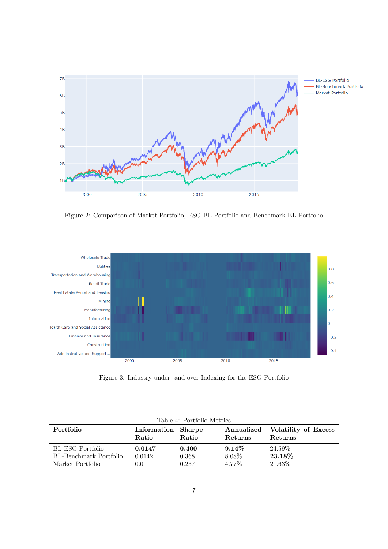

<span id="page-7-0"></span>Figure 2: Comparison of Market Portfolio, ESG-BL Portfolio and Benchmark BL Portfolio



<span id="page-7-2"></span>Figure 3: Industry under- and over-Indexing for the ESG Portfolio

| Portfolio              | Information Sharpe<br>Ratio | Ratio | Annualized<br>Returns | Volatility of Excess<br>Returns |
|------------------------|-----------------------------|-------|-----------------------|---------------------------------|
| BL-ESG Portfolio       | 0.0147                      | 0.400 | $9.14\%$              | $24.59\%$                       |
| BL-Benchmark Portfolio | 0.0142                      | 0.368 | 8.08%                 | $\boldsymbol{23.18\%}$          |
| Market Portfolio       | 0.0                         | 0.237 | 4.77%                 | 21.63%                          |

<span id="page-7-1"></span>Table 4: Portfolio Metrics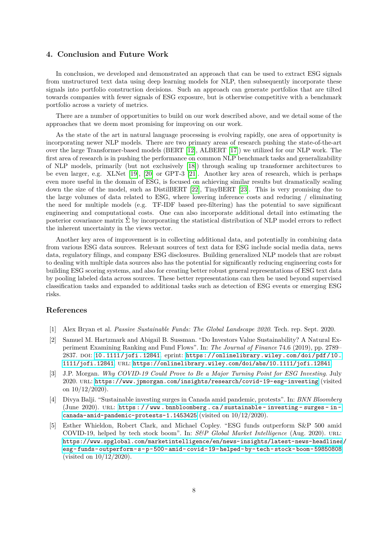### **4. Conclusion and Future Work**

In conclusion, we developed and demonstrated an approach that can be used to extract ESG signals from unstructured text data using deep learning models for NLP, then subsequently incorporate these signals into portfolio construction decisions. Such an approach can generate portfolios that are tilted towards companies with fewer signals of ESG exposure, but is otherwise competitive with a benchmark portfolio across a variety of metrics.

There are a number of opportunities to build on our work described above, and we detail some of the approaches that we deem most promising for improving on our work.

As the state of the art in natural language processing is evolving rapidly, one area of opportunity is incorporating newer NLP models. There are two primary areas of research pushing the state-of-the-art over the large Transformer-based models (BERT [\[12\]](#page-9-6), ALBERT [\[17\]](#page-9-11)) we utilized for our NLP work. The first area of research is in pushing the performance on common NLP benchmark tasks and generalizability of NLP models, primarily (but not exclusively [\[18\]](#page-9-12)) through scaling up transformer architectures to be even larger, e.g. XLNet [\[19\]](#page-9-13), [\[20\]](#page-9-14) or GPT-3 [\[21\]](#page-9-15). Another key area of research, which is perhaps even more useful in the domain of ESG, is focused on achieving similar results but dramatically scaling down the size of the model, such as DistilBERT [\[22\]](#page-9-16), TinyBERT [\[23\]](#page-9-17). This is very promising due to the large volumes of data related to ESG, where lowering inference costs and reducing / eliminating the need for multiple models (e.g. TF-IDF based pre-filtering) has the potential to save significant engineering and computational costs. One can also incorporate additional detail into estimating the posterior covariance matrix  $\Sigma$  by incorporating the statistical distribution of NLP model errors to reflect the inherent uncertainty in the views vector.

Another key area of improvement is in collecting additional data, and potentially in combining data from various ESG data sources. Relevant sources of text data for ESG include social media data, news data, regulatory filings, and company ESG disclosures. Building generalized NLP models that are robust to dealing with multiple data sources also has the potential for significantly reducing engineering costs for building ESG scoring systems, and also for creating better robust general representations of ESG text data by pooling labeled data across sources. These better representations can then be used beyond supervised classification tasks and expanded to additional tasks such as detection of ESG events or emerging ESG risks.

## **References**

- <span id="page-8-0"></span>[1] Alex Bryan et al. *Passive Sustainable Funds: The Global Landscape 2020*. Tech. rep. Sept. 2020.
- <span id="page-8-1"></span>[2] Samuel M. Hartzmark and Abigail B. Sussman. "Do Investors Value Sustainability? A Natural Experiment Examining Ranking and Fund Flows". In: *The Journal of Finance* 74.6 (2019), pp. 2789– 2837. doi: [10.1111/jofi.12841](https://doi.org/10.1111/jofi.12841). eprint: [https://onlinelibrary.wiley.com/doi/pdf/10.](https://onlinelibrary.wiley.com/doi/pdf/10.1111/jofi.12841) [1111/jofi.12841](https://onlinelibrary.wiley.com/doi/pdf/10.1111/jofi.12841). url: <https://onlinelibrary.wiley.com/doi/abs/10.1111/jofi.12841>.
- <span id="page-8-2"></span>[3] J.P. Morgan. *Why COVID-19 Could Prove to Be a Major Turning Point for ESG Investing*. July 2020. url: <https://www.jpmorgan.com/insights/research/covid-19-esg-investing> (visited on  $10/12/2020$ ).
- <span id="page-8-3"></span>[4] Divya Balji. "Sustainable investing surges in Canada amid pandemic, protests". In: *BNN Bloomberg* (June 2020). URL: https://www.bnnbloomberg.ca/sustainable-investing-surges-in[canada-amid-pandemic-protests-1.1453425](https://www.bnnbloomberg.ca/sustainable-investing-surges-in-canada-amid-pandemic-protests-1.1453425) (visited on 10/12/2020).
- <span id="page-8-4"></span>[5] Esther Whieldon, Robert Clark, and Michael Copley. "ESG funds outperform S&P 500 amid COVID-19, helped by tech stock boom". In: *S&P Global Market Intelligence* (Aug. 2020). url: [https://www.spglobal.com/marketintelligence/en/news-insights/latest-news-headlines](https://www.spglobal.com/marketintelligence/en/news-insights/latest-news-headlines/esg-funds-outperform-s-p-500-amid-covid-19-helped-by-tech-stock-boom-59850808)/ [esg- funds- outperform- s- p- 500- amid- covid- 19- helped- by- tech- stock- boom- 59850808](https://www.spglobal.com/marketintelligence/en/news-insights/latest-news-headlines/esg-funds-outperform-s-p-500-amid-covid-19-helped-by-tech-stock-boom-59850808) (visited on 10/12/2020).